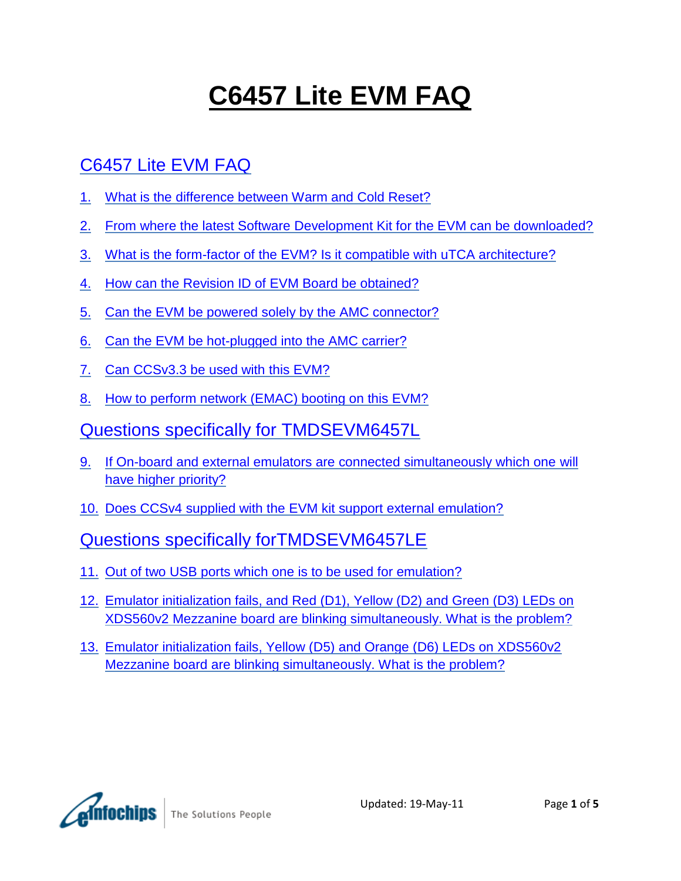# **C6457 Lite EVM FAQ**

# [C6457 Lite EVM FAQ](#page-1-0)

- 1. [What is the difference between Warm and Cold Reset?](#page-1-1)
- 2. From where the latest Software [Development Kit for the EVM can be downloaded?](#page-1-2)
- 3. [What is the form-factor of the EVM? Is it compatible with uTCA architecture?](#page-1-3)
- 4. [How can the Revision ID of EVM Board be obtained?](#page-1-4)
- 5. [Can the EVM be powered solely by the AMC connector?](#page-1-5)
- 6. [Can the EVM be hot-plugged into the AMC carrier?](#page-2-0)
- 7. [Can CCSv3.3 be used with this EVM?](#page-2-1)
- 8. [How to perform network \(EMAC\) booting on this EVM?](#page-2-2)
- [Questions specifically for TMDSEVM6457L](#page-3-0)
- 9. [If On-board and external emulators are connected simultaneously which one](#page-3-1) will [have higher priority?](#page-3-1)
- 10. [Does CCSv4 supplied with the EVM kit support external emulation?](#page-3-2)

### [Questions specifically forTMDSEVM6457LE](#page-3-3)

- 11. [Out of two USB ports which one is to be used for emulation?](#page-3-4)
- 12. [Emulator initialization fails, and Red \(D1\), Yellow \(D2\) and Green \(D3\) LEDs on](#page-3-5)  [XDS560v2 Mezzanine board are blinking simultaneously. What is the problem?](#page-3-5)
- 13. [Emulator initialization fails, Yellow \(D5\) and Orange \(D6\) LEDs on XDS560v2](#page-4-0)  [Mezzanine board are blinking simultaneously. What is the problem?](#page-4-0)

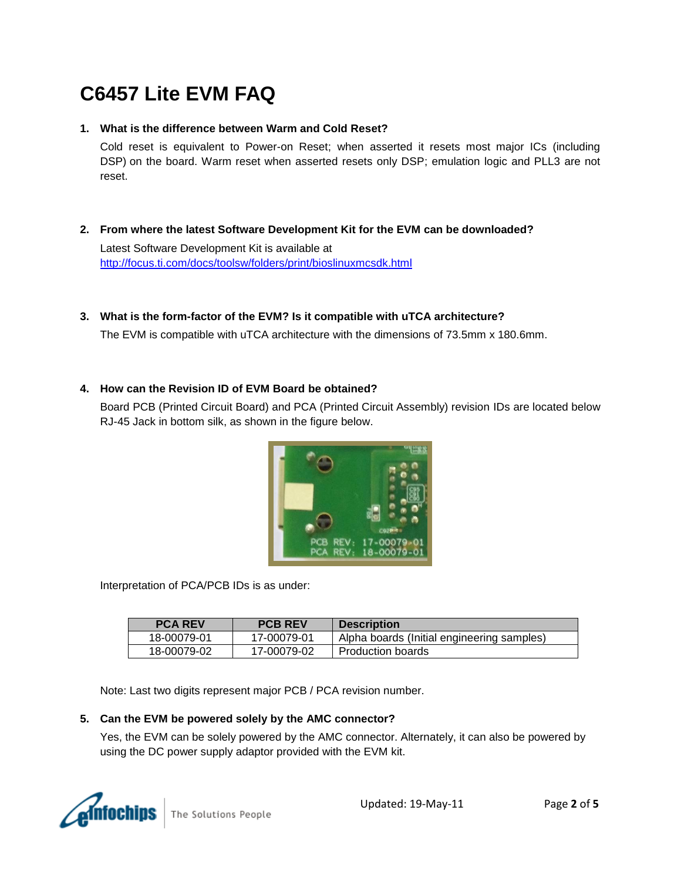# <span id="page-1-0"></span>**C6457 Lite EVM FAQ**

#### <span id="page-1-1"></span>**1. What is the difference between Warm and Cold Reset?**

Cold reset is equivalent to Power-on Reset; when asserted it resets most major ICs (including DSP) on the board. Warm reset when asserted resets only DSP; emulation logic and PLL3 are not reset.

<span id="page-1-2"></span>**2. From where the latest Software Development Kit for the EVM can be downloaded?**

Latest Software Development Kit is available at <http://focus.ti.com/docs/toolsw/folders/print/bioslinuxmcsdk.html>

<span id="page-1-3"></span>**3. What is the form-factor of the EVM? Is it compatible with uTCA architecture?**

The EVM is compatible with uTCA architecture with the dimensions of 73.5mm x 180.6mm.

#### <span id="page-1-4"></span>**4. How can the Revision ID of EVM Board be obtained?**

Board PCB (Printed Circuit Board) and PCA (Printed Circuit Assembly) revision IDs are located below RJ-45 Jack in bottom silk, as shown in the figure below.



Interpretation of PCA/PCB IDs is as under:

| <b>PCA REV</b> | <b>PCB REV</b> | <b>Description</b>                         |
|----------------|----------------|--------------------------------------------|
| 18-00079-01    | 17-00079-01    | Alpha boards (Initial engineering samples) |
| 18-00079-02    | 17-00079-02    | Production boards                          |

Note: Last two digits represent major PCB / PCA revision number.

#### <span id="page-1-5"></span>**5. Can the EVM be powered solely by the AMC connector?**

Yes, the EVM can be solely powered by the AMC connector. Alternately, it can also be powered by using the DC power supply adaptor provided with the EVM kit.

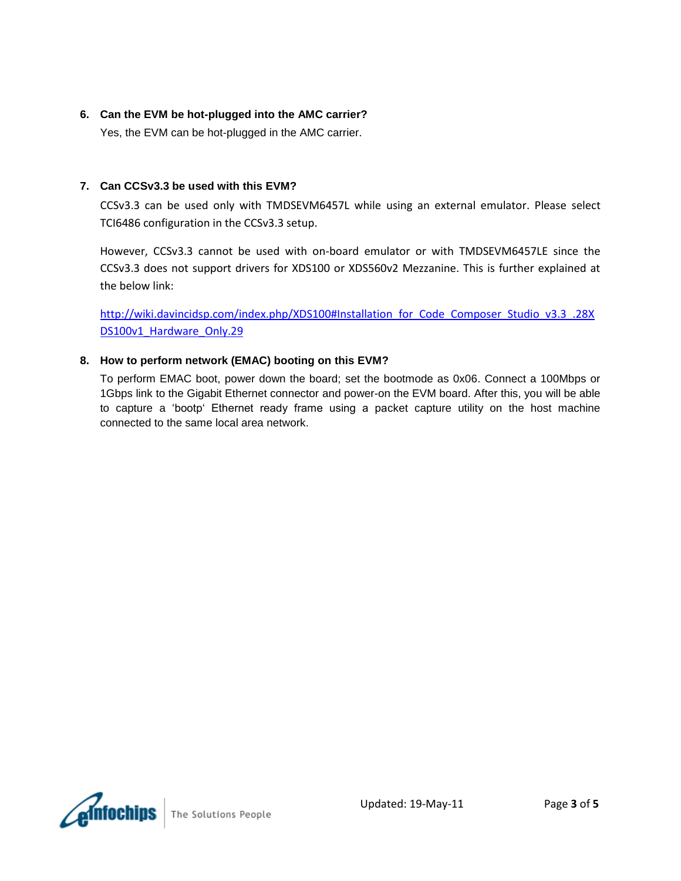#### <span id="page-2-0"></span>**6. Can the EVM be hot-plugged into the AMC carrier?**

Yes, the EVM can be hot-plugged in the AMC carrier.

#### <span id="page-2-1"></span>**7. Can CCSv3.3 be used with this EVM?**

CCSv3.3 can be used only with TMDSEVM6457L while using an external emulator. Please select TCI6486 configuration in the CCSv3.3 setup.

However, CCSv3.3 cannot be used with on-board emulator or with TMDSEVM6457LE since the CCSv3.3 does not support drivers for XDS100 or XDS560v2 Mezzanine. This is further explained at the below link:

[http://wiki.davincidsp.com/index.php/XDS100#Installation\\_for\\_Code\\_Composer\\_Studio\\_v3.3\\_.28X](http://wiki.davincidsp.com/index.php/XDS100#Installation_for_Code_Composer_Studio_v3.3_.28XDS100v1_Hardware_Only.29) DS100v1 Hardware Only.29

#### <span id="page-2-2"></span>**8. How to perform network (EMAC) booting on this EVM?**

To perform EMAC boot, power down the board; set the bootmode as 0x06. Connect a 100Mbps or 1Gbps link to the Gigabit Ethernet connector and power-on the EVM board. After this, you will be able to capture a "bootp" Ethernet ready frame using a packet capture utility on the host machine connected to the same local area network.

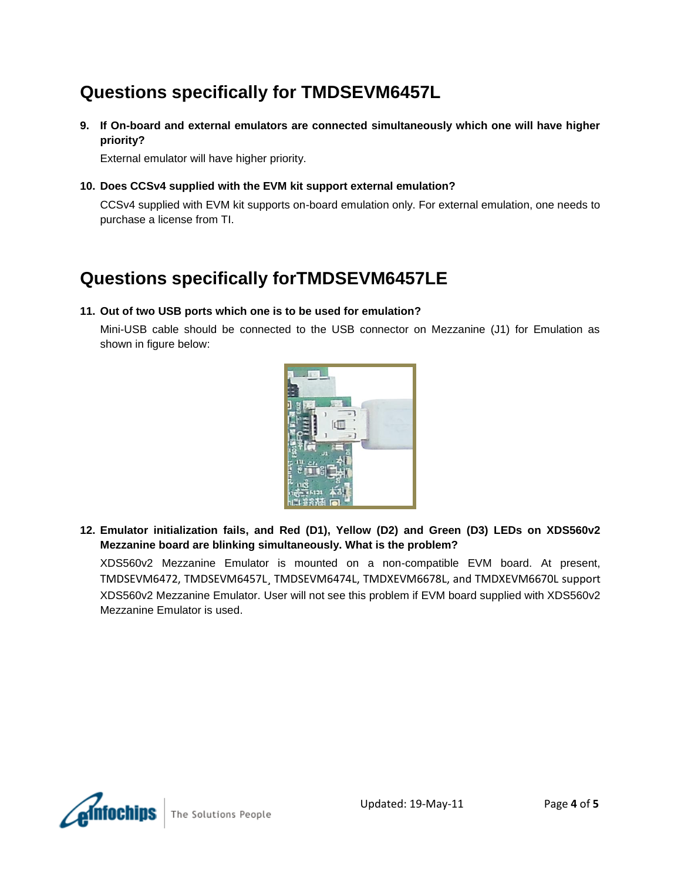# <span id="page-3-0"></span>**Questions specifically for TMDSEVM6457L**

<span id="page-3-1"></span>**9. If On-board and external emulators are connected simultaneously which one will have higher priority?** 

External emulator will have higher priority.

<span id="page-3-2"></span>**10. Does CCSv4 supplied with the EVM kit support external emulation?**

CCSv4 supplied with EVM kit supports on-board emulation only. For external emulation, one needs to purchase a license from TI.

## <span id="page-3-3"></span>**Questions specifically forTMDSEVM6457LE**

#### <span id="page-3-4"></span>**11. Out of two USB ports which one is to be used for emulation?**

Mini-USB cable should be connected to the USB connector on Mezzanine (J1) for Emulation as shown in figure below:



<span id="page-3-5"></span>**12. Emulator initialization fails, and Red (D1), Yellow (D2) and Green (D3) LEDs on XDS560v2 Mezzanine board are blinking simultaneously. What is the problem?**

XDS560v2 Mezzanine Emulator is mounted on a non-compatible EVM board. At present, TMDSEVM6472, TMDSEVM6457L¸ TMDSEVM6474L, TMDXEVM6678L, and TMDXEVM6670L support XDS560v2 Mezzanine Emulator. User will not see this problem if EVM board supplied with XDS560v2 Mezzanine Emulator is used.